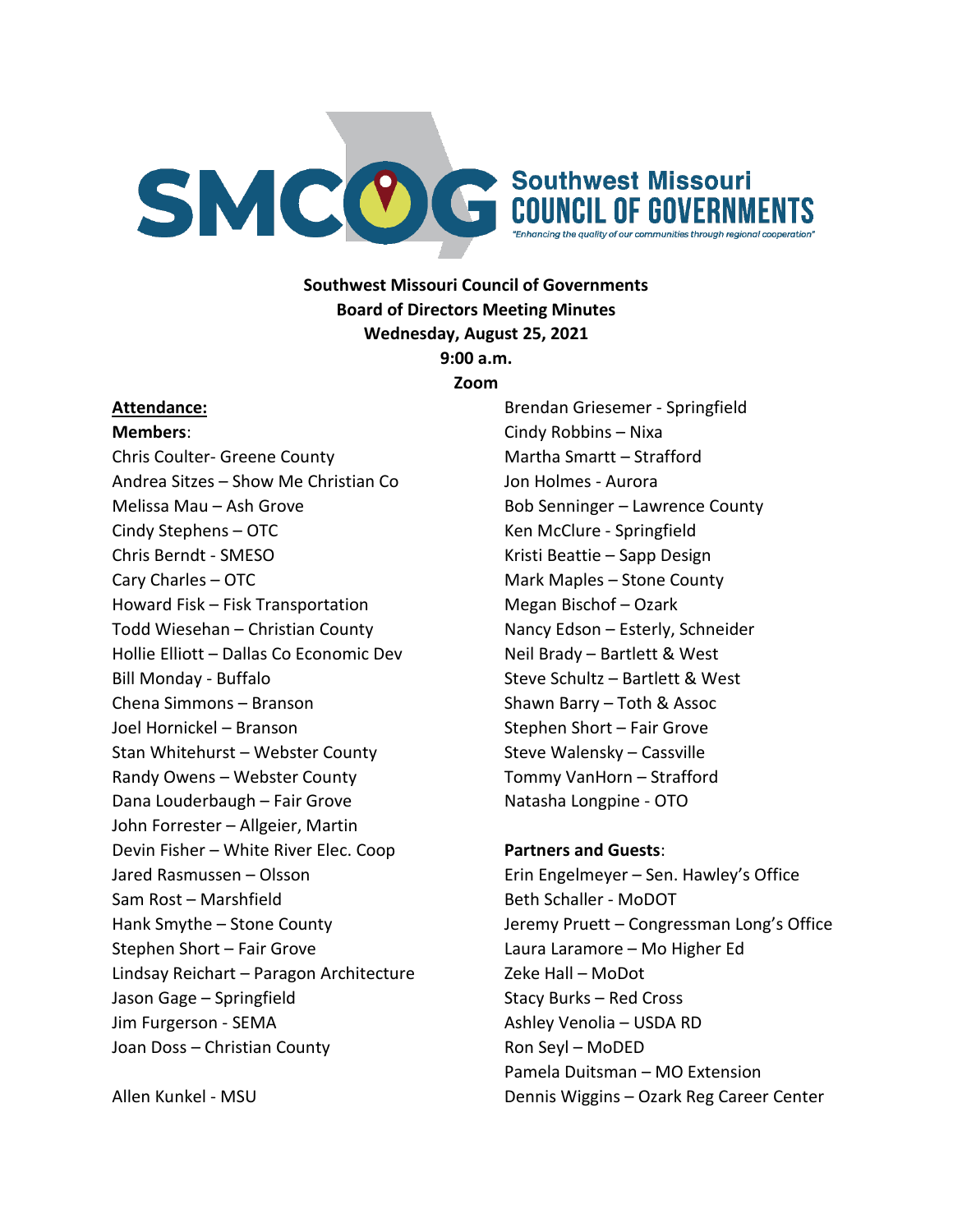

#### **Southwest Missouri Council of Governments Board of Directors Meeting Minutes Wednesday, August 25, 2021 9:00 a.m.**

**Zoom**

#### **Attendance:**

**Members**:

Chris Coulter- Greene County Andrea Sitzes – Show Me Christian Co Melissa Mau – Ash Grove Cindy Stephens – OTC Chris Berndt - SMESO Cary Charles – OTC Howard Fisk – Fisk Transportation Todd Wiesehan – Christian County Hollie Elliott – Dallas Co Economic Dev Bill Monday - Buffalo Chena Simmons – Branson Joel Hornickel – Branson Stan Whitehurst – Webster County Randy Owens – Webster County Dana Louderbaugh – Fair Grove John Forrester – Allgeier, Martin Devin Fisher – White River Elec. Coop Jared Rasmussen – Olsson Sam Rost – Marshfield Hank Smythe – Stone County Stephen Short – Fair Grove Lindsay Reichart – Paragon Architecture Jason Gage – Springfield Jim Furgerson - SEMA Joan Doss – Christian County

Cindy Robbins – Nixa Martha Smartt – Strafford Jon Holmes - Aurora Bob Senninger – Lawrence County Ken McClure - Springfield Kristi Beattie – Sapp Design Mark Maples – Stone County Megan Bischof – Ozark Nancy Edson – Esterly, Schneider Neil Brady – Bartlett & West Steve Schultz – Bartlett & West Shawn Barry – Toth & Assoc Stephen Short – Fair Grove Steve Walensky – Cassville Tommy VanHorn – Strafford Natasha Longpine - OTO

Brendan Griesemer - Springfield

# **Partners and Guests**: Erin Engelmeyer – Sen. Hawley's Office Beth Schaller - MoDOT Jeremy Pruett – Congressman Long's Office Laura Laramore – Mo Higher Ed Zeke Hall – MoDot Stacy Burks – Red Cross Ashley Venolia – USDA RD Ron Seyl – MoDED Pamela Duitsman – MO Extension Dennis Wiggins – Ozark Reg Career Center

Allen Kunkel - MSU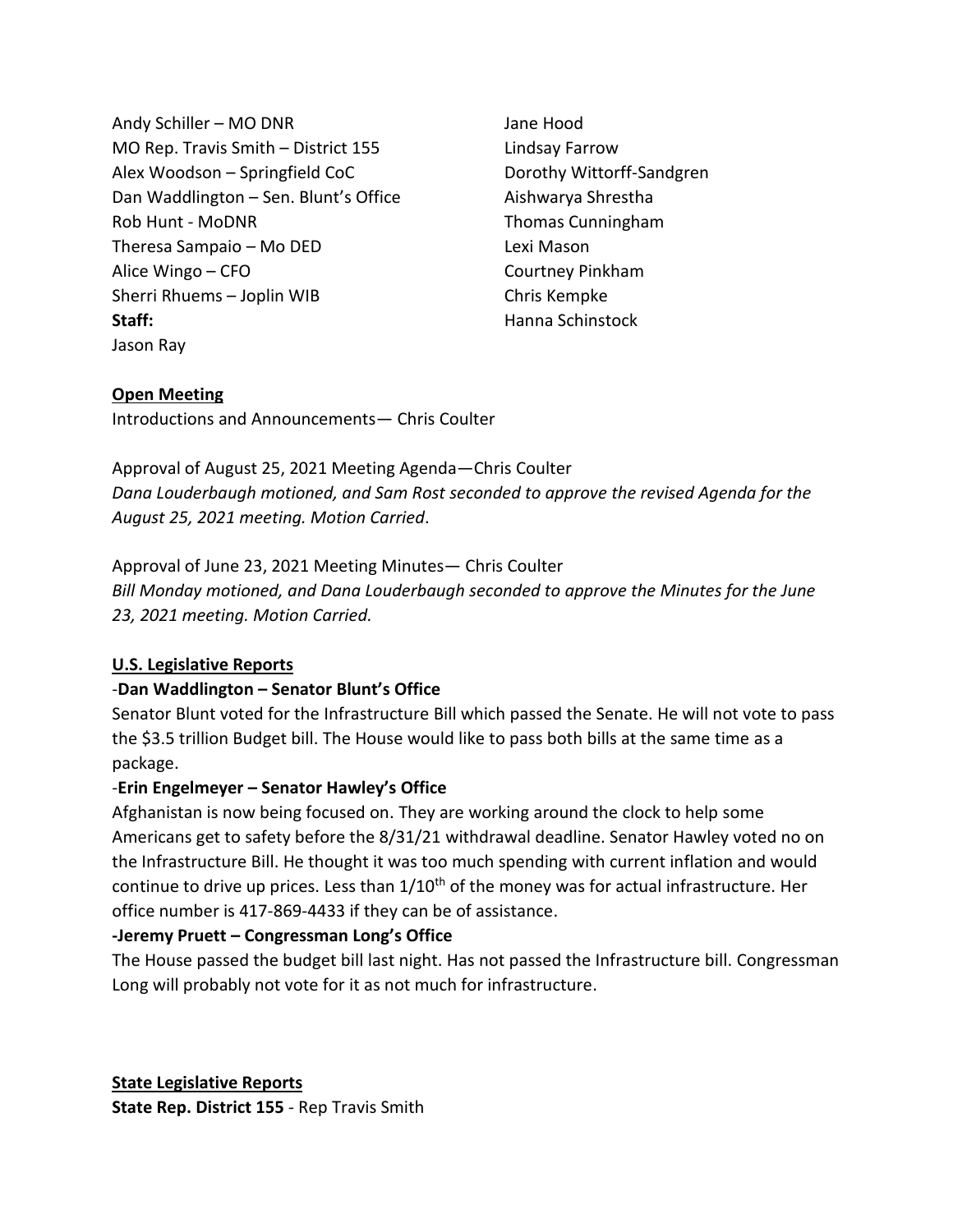Andy Schiller – MO DNR MO Rep. Travis Smith – District 155 Alex Woodson – Springfield CoC Dan Waddlington – Sen. Blunt's Office Rob Hunt - MoDNR Theresa Sampaio – Mo DED Alice Wingo – CFO Sherri Rhuems – Joplin WIB **Staff:** Jason Ray

Jane Hood Lindsay Farrow Dorothy Wittorff-Sandgren Aishwarya Shrestha Thomas Cunningham Lexi Mason Courtney Pinkham Chris Kempke Hanna Schinstock

#### **Open Meeting**

Introductions and Announcements— Chris Coulter

Approval of August 25, 2021 Meeting Agenda—Chris Coulter *Dana Louderbaugh motioned, and Sam Rost seconded to approve the revised Agenda for the August 25, 2021 meeting. Motion Carried*.

Approval of June 23, 2021 Meeting Minutes— Chris Coulter *Bill Monday motioned, and Dana Louderbaugh seconded to approve the Minutes for the June 23, 2021 meeting. Motion Carried.*

## **U.S. Legislative Reports**

## -**Dan Waddlington – Senator Blunt's Office**

Senator Blunt voted for the Infrastructure Bill which passed the Senate. He will not vote to pass the \$3.5 trillion Budget bill. The House would like to pass both bills at the same time as a package.

## -**Erin Engelmeyer – Senator Hawley's Office**

Afghanistan is now being focused on. They are working around the clock to help some Americans get to safety before the 8/31/21 withdrawal deadline. Senator Hawley voted no on the Infrastructure Bill. He thought it was too much spending with current inflation and would continue to drive up prices. Less than  $1/10<sup>th</sup>$  of the money was for actual infrastructure. Her office number is 417-869-4433 if they can be of assistance.

## **-Jeremy Pruett – Congressman Long's Office**

The House passed the budget bill last night. Has not passed the Infrastructure bill. Congressman Long will probably not vote for it as not much for infrastructure.

**State Legislative Reports State Rep. District 155** - Rep Travis Smith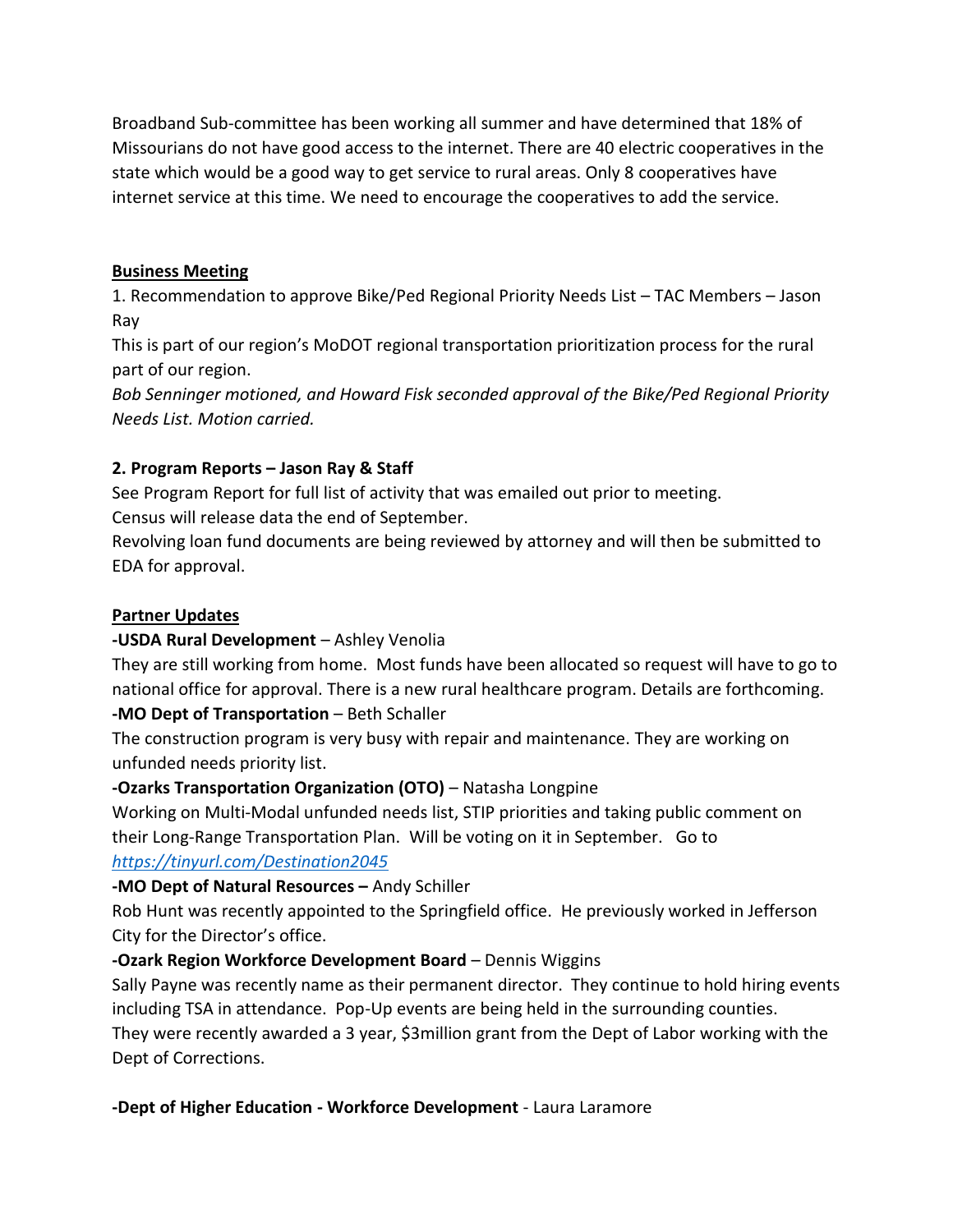Broadband Sub-committee has been working all summer and have determined that 18% of Missourians do not have good access to the internet. There are 40 electric cooperatives in the state which would be a good way to get service to rural areas. Only 8 cooperatives have internet service at this time. We need to encourage the cooperatives to add the service.

#### **Business Meeting**

1. Recommendation to approve Bike/Ped Regional Priority Needs List – TAC Members – Jason Ray

This is part of our region's MoDOT regional transportation prioritization process for the rural part of our region.

*Bob Senninger motioned, and Howard Fisk seconded approval of the Bike/Ped Regional Priority Needs List. Motion carried.*

## **2. Program Reports – Jason Ray & Staff**

See Program Report for full list of activity that was emailed out prior to meeting.

Census will release data the end of September.

Revolving loan fund documents are being reviewed by attorney and will then be submitted to EDA for approval.

## **Partner Updates**

#### **-USDA Rural Development** – Ashley Venolia

They are still working from home. Most funds have been allocated so request will have to go to national office for approval. There is a new rural healthcare program. Details are forthcoming. **-MO Dept of Transportation** – Beth Schaller

The construction program is very busy with repair and maintenance. They are working on unfunded needs priority list.

## **-Ozarks Transportation Organization (OTO)** – Natasha Longpine

Working on Multi-Modal unfunded needs list, STIP priorities and taking public comment on their Long-Range Transportation Plan. Will be voting on it in September. Go to

## *<https://tinyurl.com/Destination2045>*

## **-MO Dept of Natural Resources –** Andy Schiller

Rob Hunt was recently appointed to the Springfield office. He previously worked in Jefferson City for the Director's office.

## **-Ozark Region Workforce Development Board** – Dennis Wiggins

Sally Payne was recently name as their permanent director. They continue to hold hiring events including TSA in attendance. Pop-Up events are being held in the surrounding counties. They were recently awarded a 3 year, \$3million grant from the Dept of Labor working with the Dept of Corrections.

**-Dept of Higher Education - Workforce Development** - Laura Laramore